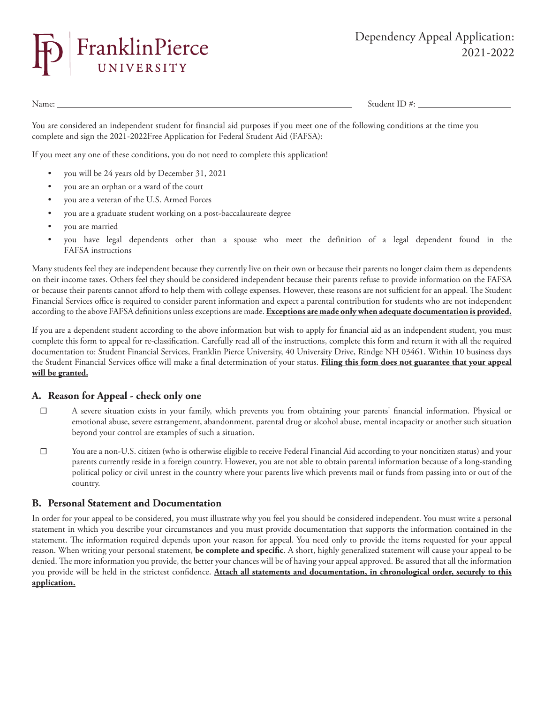

Name: Student ID #:

You are considered an independent student for financial aid purposes if you meet one of the following conditions at the time you complete and sign the 2021-2022Free Application for Federal Student Aid (FAFSA):

If you meet any one of these conditions, you do not need to complete this application!

- you will be 24 years old by December 31, 2021
- you are an orphan or a ward of the court
- you are a veteran of the U.S. Armed Forces
- you are a graduate student working on a post-baccalaureate degree
- you are married
- you have legal dependents other than a spouse who meet the definition of a legal dependent found in the FAFSA instructions

Many students feel they are independent because they currently live on their own or because their parents no longer claim them as dependents on their income taxes. Others feel they should be considered independent because their parents refuse to provide information on the FAFSA or because their parents cannot afford to help them with college expenses. However, these reasons are not sufficient for an appeal. The Student Financial Services office is required to consider parent information and expect a parental contribution for students who are not independent according to the above FAFSA definitions unless exceptions are made. **Exceptions are made only when adequate documentation is provided.**

If you are a dependent student according to the above information but wish to apply for financial aid as an independent student, you must complete this form to appeal for re-classification. Carefully read all of the instructions, complete this form and return it with all the required documentation to: Student Financial Services, Franklin Pierce University, 40 University Drive, Rindge NH 03461. Within 10 business days the Student Financial Services office will make a final determination of your status. **Filing this form does not guarantee that your appeal will be granted.**

## **A. Reason for Appeal - check only one**

- ☐ A severe situation exists in your family, which prevents you from obtaining your parents' financial information. Physical or emotional abuse, severe estrangement, abandonment, parental drug or alcohol abuse, mental incapacity or another such situation beyond your control are examples of such a situation.
- ☐ You are a non-U.S. citizen (who is otherwise eligible to receive Federal Financial Aid according to your noncitizen status) and your parents currently reside in a foreign country. However, you are not able to obtain parental information because of a long-standing political policy or civil unrest in the country where your parents live which prevents mail or funds from passing into or out of the country.

## **B. Personal Statement and Documentation**

In order for your appeal to be considered, you must illustrate why you feel you should be considered independent. You must write a personal statement in which you describe your circumstances and you must provide documentation that supports the information contained in the statement. The information required depends upon your reason for appeal. You need only to provide the items requested for your appeal reason. When writing your personal statement, **be complete and specific**. A short, highly generalized statement will cause your appeal to be denied. The more information you provide, the better your chances will be of having your appeal approved. Be assured that all the information you provide will be held in the strictest confidence. **Attach all statements and documentation, in chronological order, securely to this application.**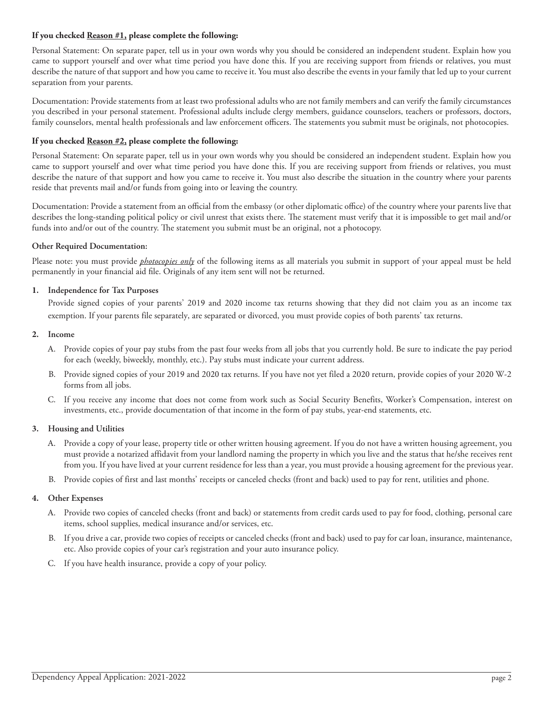### **If you checked Reason #1, please complete the following:**

Personal Statement: On separate paper, tell us in your own words why you should be considered an independent student. Explain how you came to support yourself and over what time period you have done this. If you are receiving support from friends or relatives, you must describe the nature of that support and how you came to receive it. You must also describe the events in your family that led up to your current separation from your parents.

Documentation: Provide statements from at least two professional adults who are not family members and can verify the family circumstances you described in your personal statement. Professional adults include clergy members, guidance counselors, teachers or professors, doctors, family counselors, mental health professionals and law enforcement officers. The statements you submit must be originals, not photocopies.

#### **If you checked Reason #2, please complete the following:**

Personal Statement: On separate paper, tell us in your own words why you should be considered an independent student. Explain how you came to support yourself and over what time period you have done this. If you are receiving support from friends or relatives, you must describe the nature of that support and how you came to receive it. You must also describe the situation in the country where your parents reside that prevents mail and/or funds from going into or leaving the country.

Documentation: Provide a statement from an official from the embassy (or other diplomatic office) of the country where your parents live that describes the long-standing political policy or civil unrest that exists there. The statement must verify that it is impossible to get mail and/or funds into and/or out of the country. The statement you submit must be an original, not a photocopy.

### **Other Required Documentation:**

Please note: you must provide *photocopies only* of the following items as all materials you submit in support of your appeal must be held permanently in your financial aid file. Originals of any item sent will not be returned.

### **1. Independence for Tax Purposes**

Provide signed copies of your parents' 2019 and 2020 income tax returns showing that they did not claim you as an income tax exemption. If your parents file separately, are separated or divorced, you must provide copies of both parents' tax returns.

#### **2. Income**

- A. Provide copies of your pay stubs from the past four weeks from all jobs that you currently hold. Be sure to indicate the pay period for each (weekly, biweekly, monthly, etc.). Pay stubs must indicate your current address.
- B. Provide signed copies of your 2019 and 2020 tax returns. If you have not yet filed a 2020 return, provide copies of your 2020 W-2 forms from all jobs.
- C. If you receive any income that does not come from work such as Social Security Benefits, Worker's Compensation, interest on investments, etc., provide documentation of that income in the form of pay stubs, year-end statements, etc.

#### **3. Housing and Utilities**

- A. Provide a copy of your lease, property title or other written housing agreement. If you do not have a written housing agreement, you must provide a notarized affidavit from your landlord naming the property in which you live and the status that he/she receives rent from you. If you have lived at your current residence for less than a year, you must provide a housing agreement for the previous year.
- B. Provide copies of first and last months' receipts or canceled checks (front and back) used to pay for rent, utilities and phone.

#### **4. Other Expenses**

- A. Provide two copies of canceled checks (front and back) or statements from credit cards used to pay for food, clothing, personal care items, school supplies, medical insurance and/or services, etc.
- B. If you drive a car, provide two copies of receipts or canceled checks (front and back) used to pay for car loan, insurance, maintenance, etc. Also provide copies of your car's registration and your auto insurance policy.
- C. If you have health insurance, provide a copy of your policy.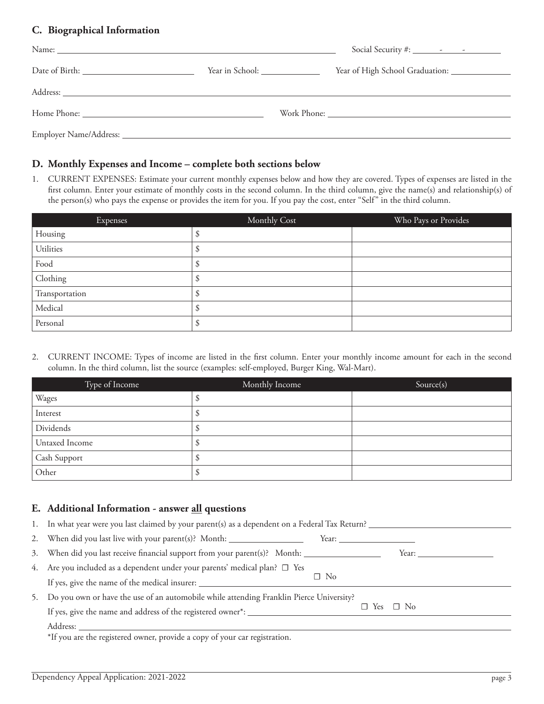# **C. Biographical Information**

| Name: Name: Name: Name: Name: Name: Name: Name: Name: Name: Name: Name: Name: Name: Name: Name: Name: Name: Name: Name: Name: Name: Name: Name: Name: Name: Name: Name: Name: Name: Name: Name: Name: Name: Name: Name: Name:  | Social Security #: $\frac{\qquad \qquad - \qquad \qquad - \qquad \qquad - \qquad \qquad }{\qquad \qquad - \qquad \qquad - \qquad \qquad - \qquad \qquad - \qquad \qquad - \qquad \qquad - \qquad \qquad - \qquad \qquad - \qquad \qquad - \qquad \qquad - \qquad \qquad - \qquad \qquad - \qquad \qquad - \qquad \qquad - \qquad \qquad - \qquad \qquad - \qquad \qquad - \qquad \qquad - \qquad \qquad - \qquad \qquad - \qquad \qquad - \qquad \qquad - \qquad \qquad - \qquad \qquad - \qquad$ |
|--------------------------------------------------------------------------------------------------------------------------------------------------------------------------------------------------------------------------------|---------------------------------------------------------------------------------------------------------------------------------------------------------------------------------------------------------------------------------------------------------------------------------------------------------------------------------------------------------------------------------------------------------------------------------------------------------------------------------------------------|
|                                                                                                                                                                                                                                |                                                                                                                                                                                                                                                                                                                                                                                                                                                                                                   |
| Address: Note and the set of the set of the set of the set of the set of the set of the set of the set of the set of the set of the set of the set of the set of the set of the set of the set of the set of the set of the se |                                                                                                                                                                                                                                                                                                                                                                                                                                                                                                   |
|                                                                                                                                                                                                                                |                                                                                                                                                                                                                                                                                                                                                                                                                                                                                                   |
|                                                                                                                                                                                                                                |                                                                                                                                                                                                                                                                                                                                                                                                                                                                                                   |

# **D. Monthly Expenses and Income – complete both sections below**

1. CURRENT EXPENSES: Estimate your current monthly expenses below and how they are covered. Types of expenses are listed in the first column. Enter your estimate of monthly costs in the second column. In the third column, give the name(s) and relationship(s) of the person(s) who pays the expense or provides the item for you. If you pay the cost, enter "Self" in the third column.

| Expenses       | Monthly Cost | Who Pays or Provides |
|----------------|--------------|----------------------|
| Housing        |              |                      |
| Utilities      |              |                      |
| Food           |              |                      |
| Clothing       |              |                      |
| Transportation |              |                      |
| Medical        |              |                      |
| Personal       |              |                      |

2. CURRENT INCOME: Types of income are listed in the first column. Enter your monthly income amount for each in the second column. In the third column, list the source (examples: self-employed, Burger King, Wal-Mart).

| Type of Income | Monthly Income | Source(s) |
|----------------|----------------|-----------|
| Wages          |                |           |
| Interest       |                |           |
| Dividends      |                |           |
| Untaxed Income |                |           |
| Cash Support   |                |           |
| Other          |                |           |

# **E. Additional Information - answer all questions**

|    | 1. In what year were you last claimed by your parent(s) as a dependent on a Federal Tax Return?      |           |                      |                                                                                                                                                                                                                                |
|----|------------------------------------------------------------------------------------------------------|-----------|----------------------|--------------------------------------------------------------------------------------------------------------------------------------------------------------------------------------------------------------------------------|
|    | 2. When did you last live with your parent(s)? Month: __________________________                     |           |                      |                                                                                                                                                                                                                                |
|    | 3. When did you last receive financial support from your parent(s)? Month: _________________________ |           |                      | Year: the contract of the contract of the contract of the contract of the contract of the contract of the contract of the contract of the contract of the contract of the contract of the contract of the contract of the cont |
|    | 4. Are you included as a dependent under your parents' medical plan? $\Box$ Yes                      |           |                      |                                                                                                                                                                                                                                |
|    |                                                                                                      | $\Box$ No |                      |                                                                                                                                                                                                                                |
| 5. | Do you own or have the use of an automobile while attending Franklin Pierce University?              |           |                      |                                                                                                                                                                                                                                |
|    |                                                                                                      |           | $\Box$ Yes $\Box$ No |                                                                                                                                                                                                                                |
|    | Address:                                                                                             |           |                      |                                                                                                                                                                                                                                |
|    | $\mathbf{r}$                                                                                         |           |                      |                                                                                                                                                                                                                                |

\*If you are the registered owner, provide a copy of your car registration.